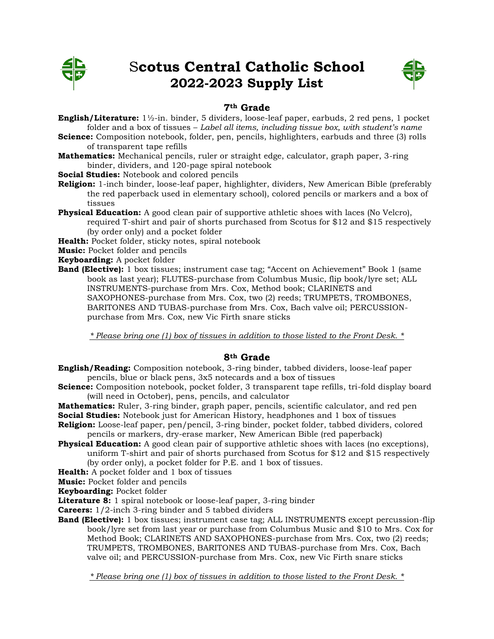

# S**cotus Central Catholic School 2022-2023 Supply List**



## **7th Grade**

**English/Literature:** 1½-in. binder, 5 dividers, loose-leaf paper, earbuds, 2 red pens, 1 pocket folder and a box of tissues – *Label all items, including tissue box, with student's name*

**Science:** Composition notebook, folder, pen, pencils, highlighters, earbuds and three (3) rolls of transparent tape refills

**Mathematics:** Mechanical pencils, ruler or straight edge, calculator, graph paper, 3-ring binder, dividers, and 120-page spiral notebook

**Social Studies:** Notebook and colored pencils

- **Religion:** 1-inch binder, loose-leaf paper, highlighter, dividers, New American Bible (preferably the red paperback used in elementary school), colored pencils or markers and a box of tissues
- **Physical Education:** A good clean pair of supportive athletic shoes with laces (No Velcro), required T-shirt and pair of shorts purchased from Scotus for \$12 and \$15 respectively (by order only) and a pocket folder

**Health:** Pocket folder, sticky notes, spiral notebook

**Music:** Pocket folder and pencils

**Keyboarding:** A pocket folder

**Band (Elective):** 1 box tissues; instrument case tag; "Accent on Achievement" Book 1 (same book as last year); FLUTES-purchase from Columbus Music, flip book/lyre set; ALL INSTRUMENTS-purchase from Mrs. Cox, Method book; CLARINETS and SAXOPHONES-purchase from Mrs. Cox, two (2) reeds; TRUMPETS, TROMBONES, BARITONES AND TUBAS-purchase from Mrs. Cox, Bach valve oil; PERCUSSIONpurchase from Mrs. Cox, new Vic Firth snare sticks

*\* Please bring one (1) box of tissues in addition to those listed to the Front Desk. \**

## **8th Grade**

- **English/Reading:** Composition notebook, 3-ring binder, tabbed dividers, loose-leaf paper pencils, blue or black pens, 3x5 notecards and a box of tissues
- **Science:** Composition notebook, pocket folder, 3 transparent tape refills, tri-fold display board (will need in October), pens, pencils, and calculator
- **Mathematics:** Ruler, 3-ring binder, graph paper, pencils, scientific calculator, and red pen
- **Social Studies:** Notebook just for American History, headphones and 1 box of tissues **Religion:** Loose-leaf paper, pen/pencil, 3-ring binder, pocket folder, tabbed dividers, colored pencils or markers, dry-erase marker, New American Bible (red paperback)
- **Physical Education:** A good clean pair of supportive athletic shoes with laces (no exceptions), uniform T-shirt and pair of shorts purchased from Scotus for \$12 and \$15 respectively (by order only), a pocket folder for P.E. and 1 box of tissues.
- **Health:** A pocket folder and 1 box of tissues

**Music:** Pocket folder and pencils

**Keyboarding:** Pocket folder

**Literature 8:** 1 spiral notebook or loose-leaf paper, 3-ring binder

**Careers:** 1/2-inch 3-ring binder and 5 tabbed dividers

**Band (Elective):** 1 box tissues; instrument case tag; ALL INSTRUMENTS except percussion-flip book/lyre set from last year or purchase from Columbus Music and \$10 to Mrs. Cox for Method Book; CLARINETS AND SAXOPHONES-purchase from Mrs. Cox, two (2) reeds; TRUMPETS, TROMBONES, BARITONES AND TUBAS-purchase from Mrs. Cox, Bach valve oil; and PERCUSSION-purchase from Mrs. Cox, new Vic Firth snare sticks

*\* Please bring one (1) box of tissues in addition to those listed to the Front Desk. \**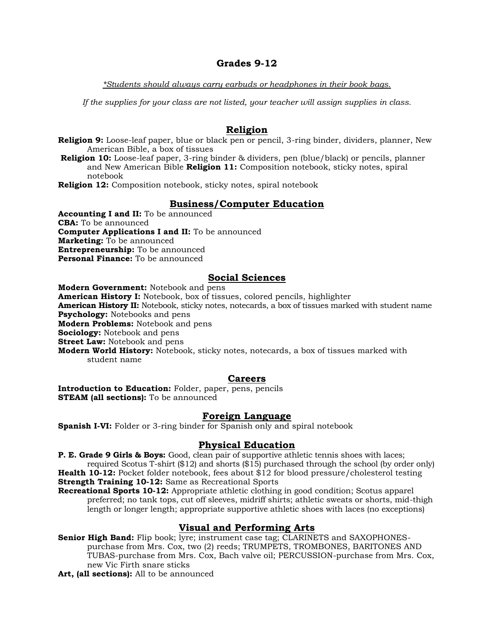## **Grades 9-12**

*\*Students should always carry earbuds or headphones in their book bags.*

*If the supplies for your class are not listed, your teacher will assign supplies in class.*

## **Religion**

**Religion 9:** Loose-leaf paper, blue or black pen or pencil, 3-ring binder, dividers, planner, New American Bible, a box of tissues

**Religion 10:** Loose-leaf paper, 3-ring binder & dividers, pen (blue/black) or pencils, planner and New American Bible **Religion 11:** Composition notebook, sticky notes, spiral notebook

**Religion 12:** Composition notebook, sticky notes, spiral notebook

## **Business/Computer Education**

**Accounting I and II:** To be announced **CBA:** To be announced **Computer Applications I and II:** To be announced **Marketing:** To be announced **Entrepreneurship:** To be announced **Personal Finance:** To be announced

## **Social Sciences**

**Modern Government:** Notebook and pens **American History I:** Notebook, box of tissues, colored pencils, highlighter **American History II:** Notebook, sticky notes, notecards, a box of tissues marked with student name **Psychology:** Notebooks and pens **Modern Problems:** Notebook and pens **Sociology:** Notebook and pens **Street Law:** Notebook and pens **Modern World History:** Notebook, sticky notes, notecards, a box of tissues marked with student name

### **Careers**

**Introduction to Education:** Folder, paper, pens, pencils **STEAM (all sections):** To be announced

### **Foreign Language**

**Spanish I-VI:** Folder or 3-ring binder for Spanish only and spiral notebook

#### **Physical Education**

**P. E. Grade 9 Girls & Boys:** Good, clean pair of supportive athletic tennis shoes with laces; required Scotus T-shirt (\$12) and shorts (\$15) purchased through the school (by order only) **Health 10-12:** Pocket folder notebook, fees about \$12 for blood pressure/cholesterol testing **Strength Training 10-12:** Same as Recreational Sports

**Recreational Sports 10-12:** Appropriate athletic clothing in good condition; Scotus apparel preferred; no tank tops, cut off sleeves, midriff shirts; athletic sweats or shorts, mid-thigh length or longer length; appropriate supportive athletic shoes with laces (no exceptions)

## **Visual and Performing Arts**

**Senior High Band:** Flip book; lyre; instrument case tag; CLARINETS and SAXOPHONESpurchase from Mrs. Cox, two (2) reeds; TRUMPETS, TROMBONES, BARITONES AND TUBAS-purchase from Mrs. Cox, Bach valve oil; PERCUSSION-purchase from Mrs. Cox, new Vic Firth snare sticks

**Art, (all sections):** All to be announced